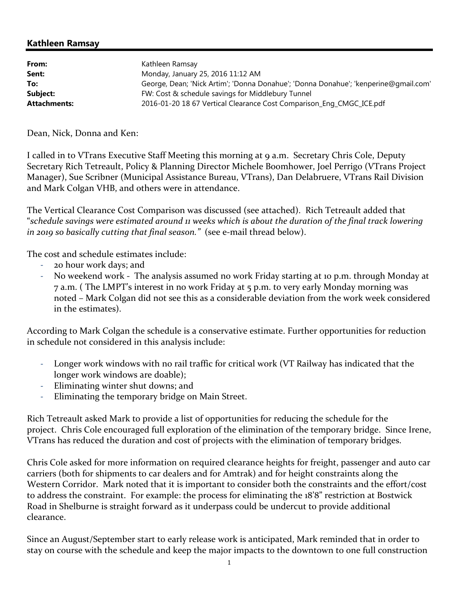## Kathleen Ramsay

| From:               | Kathleen Ramsay                                                                     |
|---------------------|-------------------------------------------------------------------------------------|
| Sent:               | Monday, January 25, 2016 11:12 AM                                                   |
| To:                 | George, Dean; 'Nick Artim'; 'Donna Donahue'; 'Donna Donahue'; 'kenperine@gmail.com' |
| Subject:            | FW: Cost & schedule savings for Middlebury Tunnel                                   |
| <b>Attachments:</b> | 2016-01-20 18 67 Vertical Clearance Cost Comparison_Eng_CMGC_ICE.pdf                |

Dean, Nick, Donna and Ken:

I called in to VTrans Executive Staff Meeting this morning at 9 a.m. Secretary Chris Cole, Deputy Secretary Rich Tetreault, Policy & Planning Director Michele Boomhower, Joel Perrigo (VTrans Project Manager), Sue Scribner (Municipal Assistance Bureau, VTrans), Dan Delabruere, VTrans Rail Division and Mark Colgan VHB, and others were in attendance.

The Vertical Clearance Cost Comparison was discussed (see attached). Rich Tetreault added that "*schedule savings were estimated around 11 weeks which is about the duration of the final track lowering in 2019 so basically cutting that final season."* (see e-mail thread below).

The cost and schedule estimates include:

- 20 hour work days; and
- No weekend work The analysis assumed no work Friday starting at 10 p.m. through Monday at 7 a.m. ( The LMPT's interest in no work Friday at 5 p.m. to very early Monday morning was noted – Mark Colgan did not see this as a considerable deviation from the work week considered in the estimates).

According to Mark Colgan the schedule is a conservative estimate. Further opportunities for reduction in schedule not considered in this analysis include:

- Longer work windows with no rail traffic for critical work (VT Railway has indicated that the longer work windows are doable);
- Eliminating winter shut downs; and
- Eliminating the temporary bridge on Main Street.

Rich Tetreault asked Mark to provide a list of opportunities for reducing the schedule for the project. Chris Cole encouraged full exploration of the elimination of the temporary bridge. Since Irene, VTrans has reduced the duration and cost of projects with the elimination of temporary bridges.

Chris Cole asked for more information on required clearance heights for freight, passenger and auto car carriers (both for shipments to car dealers and for Amtrak) and for height constraints along the Western Corridor. Mark noted that it is important to consider both the constraints and the effort/cost to address the constraint. For example: the process for eliminating the 18'8" restriction at Bostwick Road in Shelburne is straight forward as it underpass could be undercut to provide additional clearance.

Since an August/September start to early release work is anticipated, Mark reminded that in order to stay on course with the schedule and keep the major impacts to the downtown to one full construction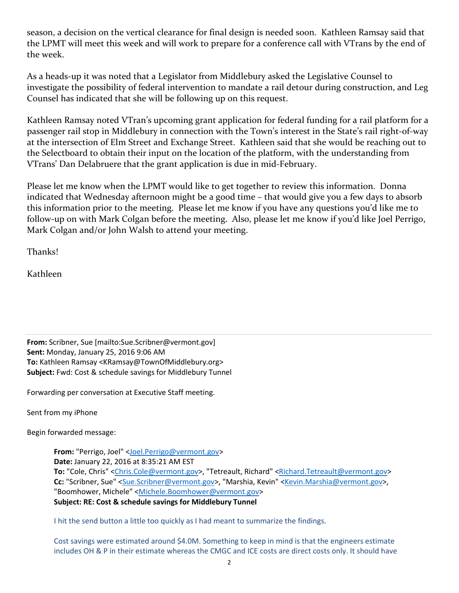season, a decision on the vertical clearance for final design is needed soon. Kathleen Ramsay said that the LPMT will meet this week and will work to prepare for a conference call with VTrans by the end of the week.

As a heads-up it was noted that a Legislator from Middlebury asked the Legislative Counsel to investigate the possibility of federal intervention to mandate a rail detour during construction, and Leg Counsel has indicated that she will be following up on this request.

Kathleen Ramsay noted VTran's upcoming grant application for federal funding for a rail platform for a passenger rail stop in Middlebury in connection with the Town's interest in the State's rail right-of-way at the intersection of Elm Street and Exchange Street. Kathleen said that she would be reaching out to the Selectboard to obtain their input on the location of the platform, with the understanding from VTrans' Dan Delabruere that the grant application is due in mid-February.

Please let me know when the LPMT would like to get together to review this information. Donna indicated that Wednesday afternoon might be a good time – that would give you a few days to absorb this information prior to the meeting. Please let me know if you have any questions you'd like me to follow-up on with Mark Colgan before the meeting. Also, please let me know if you'd like Joel Perrigo, Mark Colgan and/or John Walsh to attend your meeting.

Thanks!

Kathleen

From: Scribner, Sue [mailto:Sue.Scribner@vermont.gov] Sent: Monday, January 25, 2016 9:06 AM To: Kathleen Ramsay <KRamsay@TownOfMiddlebury.org> Subject: Fwd: Cost & schedule savings for Middlebury Tunnel

Forwarding per conversation at Executive Staff meeting.

Sent from my iPhone

Begin forwarded message:

From: "Perrigo, Joel" <Joel.Perrigo@vermont.gov> Date: January 22, 2016 at 8:35:21 AM EST To: "Cole, Chris" <Chris.Cole@vermont.gov>, "Tetreault, Richard" <Richard.Tetreault@vermont.gov> Cc: "Scribner, Sue" <Sue.Scribner@vermont.gov>, "Marshia, Kevin" <Kevin.Marshia@vermont.gov>, "Boomhower, Michele" <Michele.Boomhower@vermont.gov> Subject: RE: Cost & schedule savings for Middlebury Tunnel

I hit the send button a little too quickly as I had meant to summarize the findings.

Cost savings were estimated around \$4.0M. Something to keep in mind is that the engineers estimate includes OH & P in their estimate whereas the CMGC and ICE costs are direct costs only. It should have